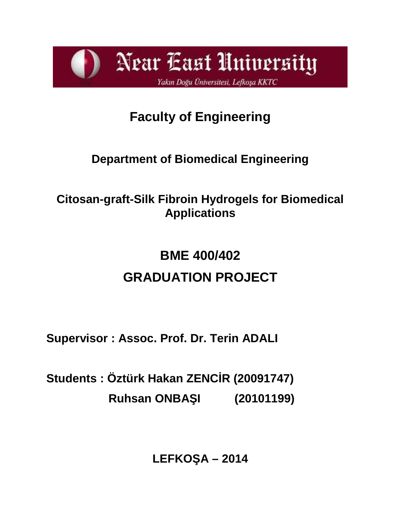

# **Faculty of Engineering**

# **Department of Biomedical Engineering**

# **Citosan-graft-Silk Fibroin Hydrogels for Biomedical Applications**

# **BME 400/402 GRADUATION PROJECT**

**Supervisor : Assoc. Prof. Dr. Terin ADALI**

**Students : Öztürk Hakan ZENCİR (20091747) Ruhsan ONBA 1 (20101199)** 

**LEFKO**  $A - 2014$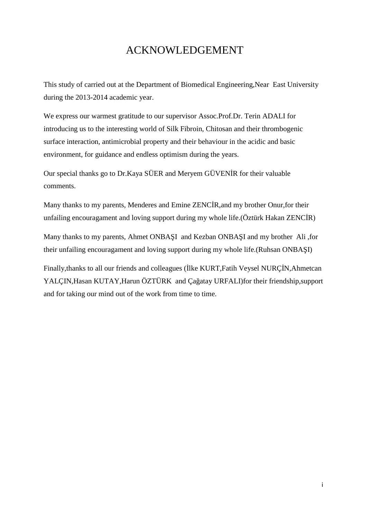# ACKNOWLEDGEMENT

This study of carried out at the Department of Biomedical Engineering,Near East University during the 2013-2014 academic year.

We express our warmest gratitude to our supervisor Assoc.Prof.Dr. Terin ADALI for introducing us to the interesting world of Silk Fibroin, Chitosan and their thrombogenic surface interaction, antimicrobial property and their behaviour in the acidic and basic environment, for guidance and endless optimism during the years.

Our special thanks go to Dr.Kaya SÜER and Meryem GÜVEN R for their valuable comments.

Many thanks to my parents, Menderes and Emine ZENC R,and my brother Onur, for their unfailing encouragament and loving support during my whole life.  $(Öztürk Hakan ZENC\ R)$ 

Many thanks to my parents, Ahmet ONBA I and Kezban ONBA I and my brother Ali ,for their unfailing encouragament and loving support during my whole life.(Ruhsan ONBA I)

Finally, thanks to all our friends and colleagues (Ike KURT, Fatih Veysel NURC N, Ahmetcan YALÇIN, Hasan KUTAY, Harun ÖZTÜRK and Ça atay URFALI)for their friendship, support and for taking our mind out of the work from time to time.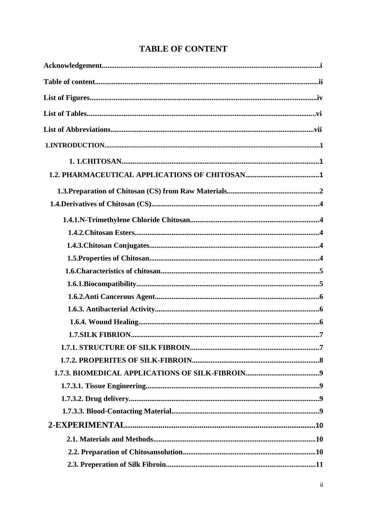| <b>TABLE OF CONTENT</b> |  |
|-------------------------|--|
|-------------------------|--|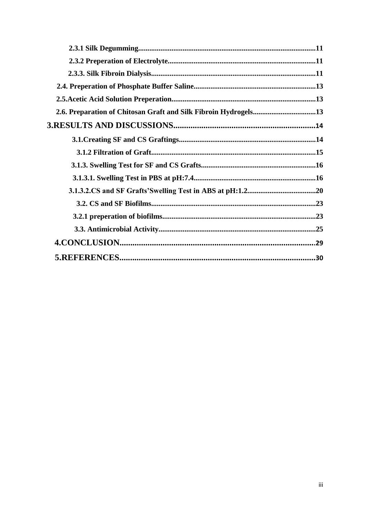| 2.6. Preparation of Chitosan Graft and Silk Fibroin Hydrogels13 |  |
|-----------------------------------------------------------------|--|
|                                                                 |  |
|                                                                 |  |
|                                                                 |  |
|                                                                 |  |
|                                                                 |  |
|                                                                 |  |
|                                                                 |  |
|                                                                 |  |
|                                                                 |  |
|                                                                 |  |
|                                                                 |  |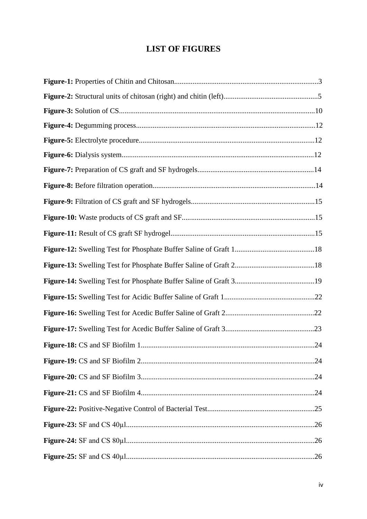# **LIST OF FIGURES**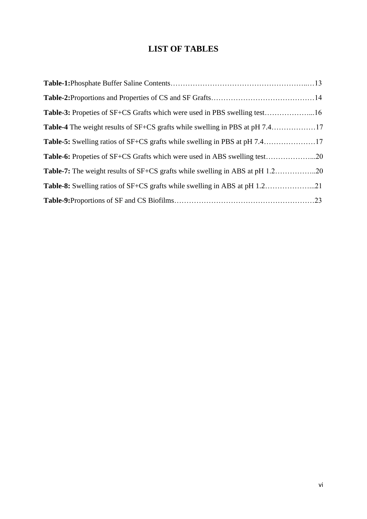# **LIST OF TABLES**

| Table-3: Propeties of SF+CS Grafts which were used in PBS swelling test16 |  |
|---------------------------------------------------------------------------|--|
|                                                                           |  |
|                                                                           |  |
|                                                                           |  |
|                                                                           |  |
|                                                                           |  |
|                                                                           |  |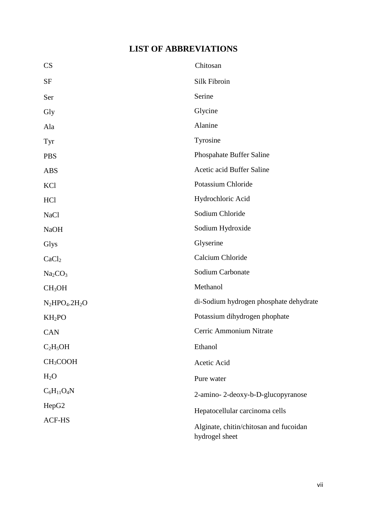# **LIST OF ABBREVIATIONS**

| CS                              | Chitosan                                                 |
|---------------------------------|----------------------------------------------------------|
| <b>SF</b>                       | Silk Fibroin                                             |
| Ser                             | Serine                                                   |
| Gly                             | Glycine                                                  |
| Ala                             | Alanine                                                  |
| Tyr                             | Tyrosine                                                 |
| <b>PBS</b>                      | Phospahate Buffer Saline                                 |
| <b>ABS</b>                      | Acetic acid Buffer Saline                                |
| KCl                             | Potassium Chloride                                       |
| HCl                             | Hydrochloric Acid                                        |
| <b>NaCl</b>                     | Sodium Chloride                                          |
| <b>NaOH</b>                     | Sodium Hydroxide                                         |
| Glys                            | Glyserine                                                |
| CaCl <sub>2</sub>               | Calcium Chloride                                         |
| Na <sub>2</sub> CO <sub>3</sub> | Sodium Carbonate                                         |
| CH <sub>3</sub> OH              | Methanol                                                 |
| $N_2HPO_4.2H_2O$                | di-Sodium hydrogen phosphate dehydrate                   |
| KH <sub>2</sub> PO              | Potassium dihydrogen phophate                            |
| CAN                             | Cerric Ammonium Nitrate                                  |
| $C_2H_5OH$                      | Ethanol                                                  |
| CH <sub>3</sub> COOH            | Acetic Acid                                              |
| H <sub>2</sub> O                | Pure water                                               |
| $C_6H_{11}O_4N$                 | 2-amino-2-deoxy-b-D-glucopyranose                        |
| HepG2                           | Hepatocellular carcinoma cells                           |
| <b>ACF-HS</b>                   | Alginate, chitin/chitosan and fucoidan<br>hydrogel sheet |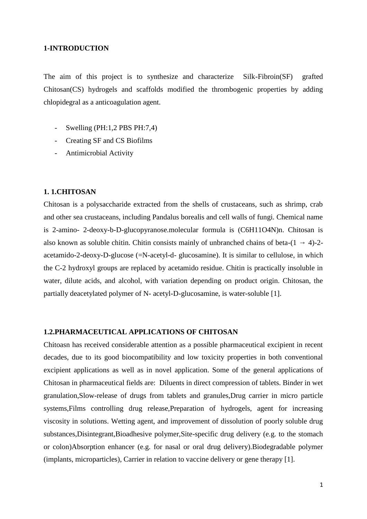#### **1-INTRODUCTION**

The aim of this project is to synthesize and characterize Silk-Fibroin(SF) grafted Chitosan(CS) hydrogels and scaffolds modified the thrombogenic properties by adding chlopidegral as a anticoagulation agent.

- Swelling (PH:1,2 PBS PH:7,4)
- Creating SF and CS Biofilms
- Antimicrobial Activity

#### **1. 1.CHITOSAN**

Chitosan is a polysaccharide extracted from the shells of crustaceans, such as shrimp, crab and other sea crustaceans, including Pandalus borealis and cell walls of fungi. Chemical name is 2-amino- 2-deoxy-b-D-glucopyranose.molecular formula is (C6H11O4N)n. Chitosan is also known as soluble chitin. Chitin consists mainly of unbranched chains of beta-(1 → 4)-2 acetamido-2-deoxy-D-glucose (=N-acetyl-d- glucosamine). It is similar to cellulose, in which the C-2 hydroxyl groups are replaced by acetamido residue. Chitin is practically insoluble in water, dilute acids, and alcohol, with variation depending on product origin. Chitosan, the partially deacetylated polymer of N- acetyl-D-glucosamine, is water-soluble [1].

#### **1.2.PHARMACEUTICAL APPLICATIONS OF CHITOSAN**

Chitoasn has received considerable attention as a possible pharmaceutical excipient in recent decades, due to its good biocompatibility and low toxicity properties in both conventional excipient applications as well as in novel application. Some of the general applications of Chitosan in pharmaceutical fields are: Diluents in direct compression of tablets. Binder in wet granulation,Slow-release of drugs from tablets and granules,Drug carrier in micro particle systems,Films controlling drug release,Preparation of hydrogels, agent for increasing viscosity in solutions. Wetting agent, and improvement of dissolution of poorly soluble drug substances,Disintegrant,Bioadhesive polymer,Site-specific drug delivery (e.g. to the stomach or colon)Absorption enhancer (e.g. for nasal or oral drug delivery).Biodegradable polymer (implants, microparticles), Carrier in relation to vaccine delivery or gene therapy [1].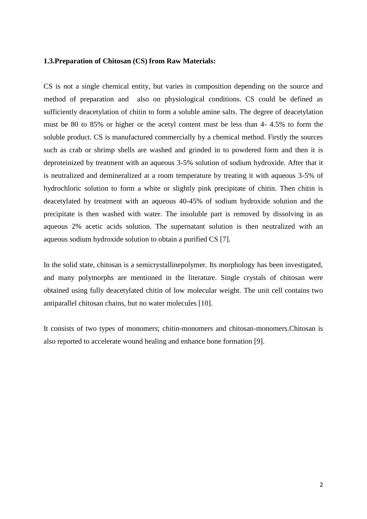#### **1.3.Preparation of Chitosan (CS) from Raw Materials:**

CS is not a single chemical entity, but varies in composition depending on the source and method of preparation and also on physiological conditions. CS could be defined as sufficiently deacetylation of chitin to form a soluble amine salts. The degree of deacetylation must be 80 to 85% or higher or the acetyl content must be less than 4- 4.5% to form the soluble product. CS is manufactured commercially by a chemical method. Firstly the sources such as crab or shrimp shells are washed and grinded in to powdered form and then it is deproteinized by treatment with an aqueous 3-5% solution of sodium hydroxide. After that it is neutralized and demineralized at a room temperature by treating it with aqueous 3-5% of hydrochloric solution to form a white or slightly pink precipitate of chitin. Then chitin is deacetylated by treatment with an aqueous 40-45% of sodium hydroxide solution and the precipitate is then washed with water. The insoluble part is removed by dissolving in an aqueous 2% acetic acids solution. The supernatant solution is then neutralized with an aqueous sodium hydroxide solution to obtain a purified CS [7].

In the solid state, chitosan is a semicrystallinepolymer. Its morphology has been investigated, and many polymorphs are mentioned in the literature. Single crystals of chitosan were obtained using fully deacetylated chitin of low molecular weight. The unit cell contains two antiparallel chitosan chains, but no water molecules [10].

It consists of two types of monomers; chitin-monomers and chitosan-monomers.Chitosan is also reported to accelerate wound healing and enhance bone formation [9].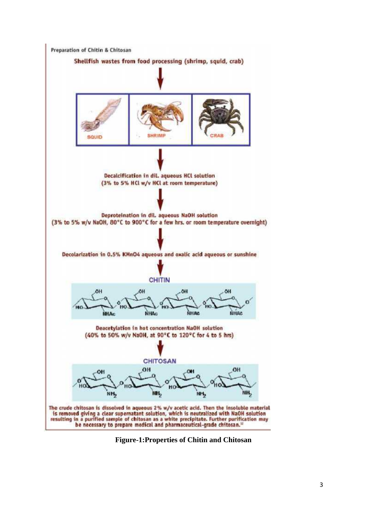

**Figure-1:Properties of Chitin and Chitosan**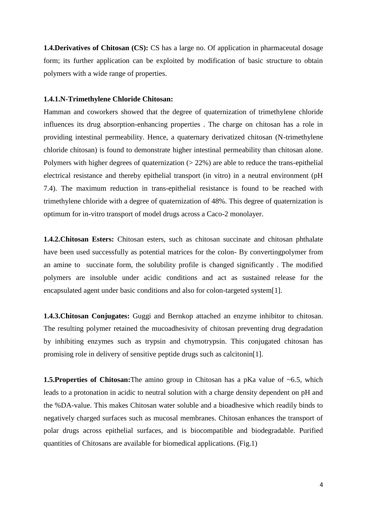**1.4.Derivatives of Chitosan (CS):** CS has a large no. Of application in pharmaceutal dosage form; its further application can be exploited by modification of basic structure to obtain polymers with a wide range of properties.

#### **1.4.1.N-Trimethylene Chloride Chitosan:**

Hamman and coworkers showed that the degree of quaternization of trimethylene chloride influences its drug absorption-enhancing properties . The charge on chitosan has a role in providing intestinal permeability. Hence, a quaternary derivatized chitosan (N-trimethylene chloride chitosan) is found to demonstrate higher intestinal permeability than chitosan alone. Polymers with higher degrees of quaternization  $(22\%)$  are able to reduce the trans-epithelial electrical resistance and thereby epithelial transport (in vitro) in a neutral environment (pH 7.4). The maximum reduction in trans-epithelial resistance is found to be reached with trimethylene chloride with a degree of quaternization of 48%. This degree of quaternization is optimum for in-vitro transport of model drugs across a Caco-2 monolayer.

**1.4.2.Chitosan Esters:** Chitosan esters, such as chitosan succinate and chitosan phthalate have been used successfully as potential matrices for the colon- By convertingpolymer from an amine to succinate form, the solubility profile is changed significantly . The modified polymers are insoluble under acidic conditions and act as sustained release for the encapsulated agent under basic conditions and also for colon-targeted system[1].

**1.4.3.Chitosan Conjugates:** Guggi and Bernkop attached an enzyme inhibitor to chitosan. The resulting polymer retained the mucoadhesivity of chitosan preventing drug degradation by inhibiting enzymes such as trypsin and chymotrypsin. This conjugated chitosan has promising role in delivery of sensitive peptide drugs such as calcitonin[1].

**1.5.Properties of Chitosan:**The amino group in Chitosan has a pKa value of ~6.5, which leads to a protonation in acidic to neutral solution with a charge density dependent on pH and the %DA-value. This makes Chitosan water soluble and a bioadhesive which readily binds to negatively charged surfaces such as mucosal membranes. Chitosan enhances the transport of polar drugs across epithelial surfaces, and is biocompatible and biodegradable. Purified quantities of Chitosans are available for biomedical applications. (Fig.1)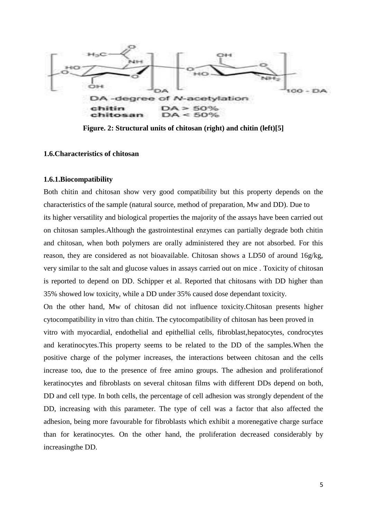

Figure. 2: Structural units of chitosan (right) and chitin (left)[5]<br>rristics of chitosan

#### **1.6.Characteristics of chitosan**

#### **1.6.1.Biocompatibility**

Both chitin and chitosan show very good compatibility but this property depends on the Both chitin and chitosan show very good compatibility but this property depends on the characteristics of the sample (natural source, method of preparation, Mw and DD). Due to its higher versatility and biological properties the majority of the assays have been carried out on chitosan samples.Although the gastrointestinal enzymes can partially degrade both chitin and chitosan, when both polymers are orally administered they are not absorbed. For this reason, they are considered as not bioavailable. Chitosan shows a LD50 of around 16g/kg, very similar to the salt and glucose values in assays carried out on mice . Toxicity of chitosan is reported to depend on DD. Schipper et al. Reported that chitosans with DD higher than 35% showed low toxicity, while a DD under 35% caused dose dependant toxicity. on chitosan samples. Although the gastrointestinal enzymes can partially degrade both chitin<br>and chitosan, when both polymers are orally administered they are not absorbed. For this<br>reason, they are considered as not bioav

On the other hand, Mw of chitosan did not influence toxicity.Chitosan presents higher cytocompatibility in vitro than chitin. The cytocompatibility of chitosan has been proved in

vitro with myocardial, endothelial and epithellial cells, fibroblast,hepatocytes, condrocytes and keratinocytes.This property seems to be related to the DD of the samples.When the positive charge of the polymer increases, the interactions between chitosan and the cells increase too, due to the presence of free amino groups. The adhesion and proliferationof keratinocytes and fibroblasts on several chitosan films with different DDs depend on both, DD and cell type. In both cells, the percentage of cell adhesion was strongly dependent of the DD, increasing with this parameter. The type of cell was a factor that also affected the adhesion, being more favourable for fibroblasts which exhibit a morenegative charge surface than for keratinocytes. On the other hand, the proliferation decreased considerably by increasingthe DD. keratinocytes. This property seems to be related to the DD of the samples. When the tive charge of the polymer increases, the interactions between chitosan and the cells ease too, due to the presence of free amino groups. its higher versatility and biological properties the majority of the assays have been carried<br>on chitosan samples. Although the gastrointestinal enzymes can partially degrade both ch<br>and chitosan, when both polymers are or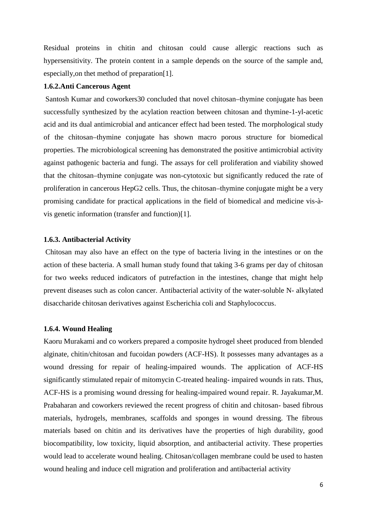Residual proteins in chitin and chitosan could cause allergic reactions such as hypersensitivity. The protein content in a sample depends on the source of the sample and, especially,on thet method of preparation[1].

#### **1.6.2.Anti Cancerous Agent**

Santosh Kumar and coworkers30 concluded that novel chitosan–thymine conjugate has been successfully synthesized by the acylation reaction between chitosan and thymine-1-yl-acetic acid and its dual antimicrobial and anticancer effect had been tested. The morphological study of the chitosan–thymine conjugate has shown macro porous structure for biomedical properties. The microbiological screening has demonstrated the positive antimicrobial activity against pathogenic bacteria and fungi. The assays for cell proliferation and viability showed that the chitosan–thymine conjugate was non-cytotoxic but significantly reduced the rate of proliferation in cancerous HepG2 cells. Thus, the chitosan–thymine conjugate might be a very promising candidate for practical applications in the field of biomedical and medicine vis-à vis genetic information (transfer and function)[1].

#### **1.6.3. Antibacterial Activity**

Chitosan may also have an effect on the type of bacteria living in the intestines or on the action of these bacteria. A small human study found that taking 3-6 grams per day of chitosan for two weeks reduced indicators of putrefaction in the intestines, change that might help prevent diseases such as colon cancer. Antibacterial activity of the water-soluble N- alkylated disaccharide chitosan derivatives against Escherichia coli and Staphylococcus.

#### **1.6.4. Wound Healing**

Kaoru Murakami and co workers prepared a composite hydrogel sheet produced from blended alginate, chitin/chitosan and fucoidan powders (ACF-HS). It possesses many advantages as a wound dressing for repair of healing-impaired wounds. The application of ACF-HS significantly stimulated repair of mitomycin C-treated healing- impaired wounds in rats. Thus, ACF-HS is a promising wound dressing for healing-impaired wound repair. R. Jayakumar,M. Prabaharan and coworkers reviewed the recent progress of chitin and chitosan- based fibrous materials, hydrogels, membranes, scaffolds and sponges in wound dressing. The fibrous materials based on chitin and its derivatives have the properties of high durability, good biocompatibility, low toxicity, liquid absorption, and antibacterial activity. These properties would lead to accelerate wound healing. Chitosan/collagen membrane could be used to hasten wound healing and induce cell migration and proliferation and antibacterial activity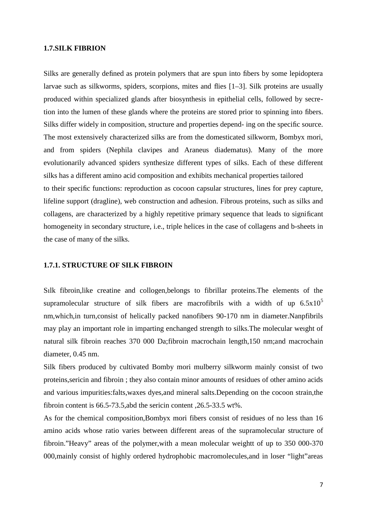#### **1.7.SILK FIBRION**

Silks are generally defined as protein polymers that are spun into fibers by some lepidoptera larvae such as silkworms, spiders, scorpions, mites and flies [1–3]. Silk proteins are usually produced within specialized glands after biosynthesis in epithelial cells, followed by secretion into the lumen of these glands where the proteins are stored prior to spinning into fibers. Silks differ widely in composition, structure and properties depend- ing on the specific source. The most extensively characterized silks are from the domesticated silkworm, Bombyx mori, and from spiders (Nephila clavipes and Araneus diadematus). Many of the more evolutionarily advanced spiders synthesize different types of silks. Each of these different silks has a different amino acid composition and exhibits mechanical properties tailored to their specific functions: reproduction as cocoon capsular structures, lines for prey capture, lifeline support (dragline), web construction and adhesion. Fibrous proteins, such as silks and collagens, are characterized by a highly repetitive primary sequence that leads to significant homogeneity in secondary structure, i.e., triple helices in the case of collagens and b-sheets in the case of many of the silks.

#### **1.7.1. STRUCTURE OF SILK FIBROIN**

Sılk fibroin,like creatine and collogen,belongs to fibrillar proteins.The elements of the supramolecular structure of silk fibers are macrofibrils with a width of up  $6.5x10^5$ nm,which,in turn,consist of helically packed nanofibers 90-170 nm in diameter.Nanpfibrils may play an important role in imparting enchanged strength to silks.The molecular weıght of natural silk fibroin reaches 370 000 Da;fibroin macrochain length,150 nm;and macrochain diameter, 0.45 nm.

Silk fibers produced by cultivated Bomby mori mulberry silkworm mainly consist of two proteins,sericin and fibroin ; they also contain minor amounts of residues of other amino acids and various impurities:falts,waxes dyes,and mineral salts.Depending on the cocoon strain,the fibroin content is 66.5-73.5,abd the sericin content ,26.5-33.5 wt%.

As for the chemical composition,Bombyx mori fibers consist of residues of no less than 16 amino acids whose ratio varies between different areas of the supramolecular structure of fibroin."Heavy" areas of the polymer,with a mean molecular weightt of up to 350 000-370 000,mainly consist of highly ordered hydrophobic macromolecules,and in loser "light"areas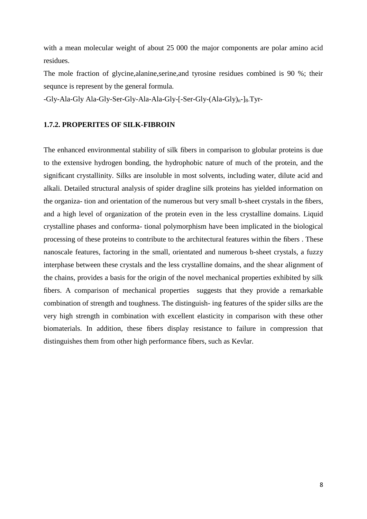with a mean molecular weight of about 25 000 the major components are polar amino acid residues.

The mole fraction of glycine,alanine,serine,and tyrosine residues combined is 90 %; their sequnce is represent by the general formula.

-Gly-Ala-Gly Ala-Gly-Ser-Gly-Ala-Ala-Gly-[-Ser-Gly-(Ala-Gly)<sub>n</sub>-]<sub>8</sub>.Tyr-

#### **1.7.2. PROPERITES OF SILK-FIBROIN**

The enhanced environmental stability of silk fibers in comparison to globular proteins is due to the extensive hydrogen bonding, the hydrophobic nature of much of the protein, and the significant crystallinity. Silks are insoluble in most solvents, including water, dilute acid and alkali. Detailed structural analysis of spider dragline silk proteins has yielded information on the organiza- tion and orientation of the numerous but very small b-sheet crystals in the fibers, and a high level of organization of the protein even in the less crystalline domains. Liquid crystalline phases and conforma- tional polymorphism have been implicated in the biological processing of these proteins to contribute to the architectural features within the fibers . These nanoscale features, factoring in the small, orientated and numerous b-sheet crystals, a fuzzy interphase between these crystals and the less crystalline domains, and the shear alignment of the chains, provides a basis for the origin of the novel mechanical properties exhibited by silk fibers. A comparison of mechanical properties suggests that they provide a remarkable combination of strength and toughness. The distinguish- ing features of the spider silks are the very high strength in combination with excellent elasticity in comparison with these other biomaterials. In addition, these fibers display resistance to failure in compression that distinguishes them from other high performance fibers, such as Kevlar.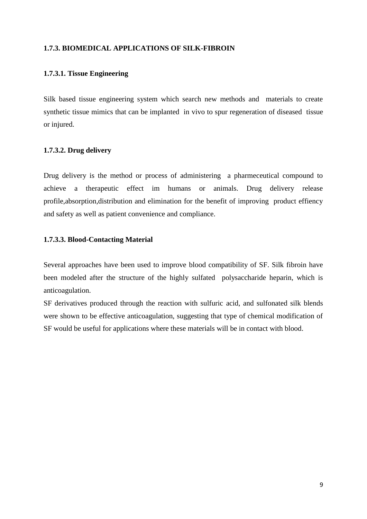#### **1.7.3. BIOMEDICAL APPLICATIONS OF SILK-FIBROIN**

#### **1.7.3.1. Tissue Engineering**

Silk based tissue engineering system which search new methods and materials to create synthetic tissue mimics that can be implanted in vivo to spur regeneration of diseased tissue or injured.

#### **1.7.3.2. Drug delivery**

Drug delivery is the method or process of administering a pharmeceutical compound to achieve a therapeutic effect im humans or animals. Drug delivery release profile,absorption,distribution and elimination for the benefit of improving product effiency and safety as well as patient convenience and compliance.

#### **1.7.3.3. Blood-Contacting Material**

Several approaches have been used to improve blood compatibility of SF. Silk fibroin have been modeled after the structure of the highly sulfated polysaccharide heparin, which is anticoagulation.

SF derivatives produced through the reaction with sulfuric acid, and sulfonated silk blends were shown to be effective anticoagulation, suggesting that type of chemical modification of SF would be useful for applications where these materials will be in contact with blood.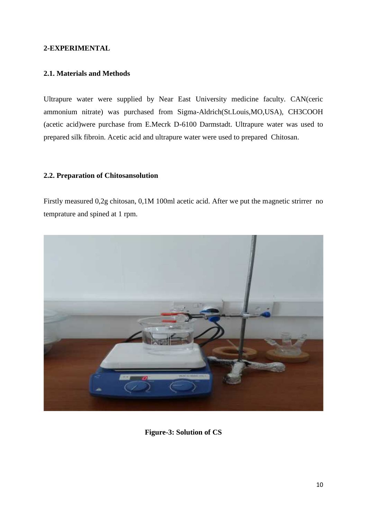#### **2-EXPERIMENTAL**

#### **2.1. Materials and Methods**

Ultrapure water were supplied by Near East University medicine faculty. CAN(ceric ammonium nitrate) was purchased from Sigma-Aldrich(St.Louis,MO,USA), CH3COOH (acetic acid)were purchase from E.Mecrk D-6100 Darmstadt. Ultrapure water was used to prepared silk fibroin. Acetic acid and ultrapure water were used to prepared Chitosan.

#### **2.2. Preparation of Chitosansolution**

Firstly measured 0,2g chitosan, 0,1M 100ml acetic acid. After we put the magnetic strirrer no temprature and spined at 1 rpm.



**Figure-3: Solution of CS**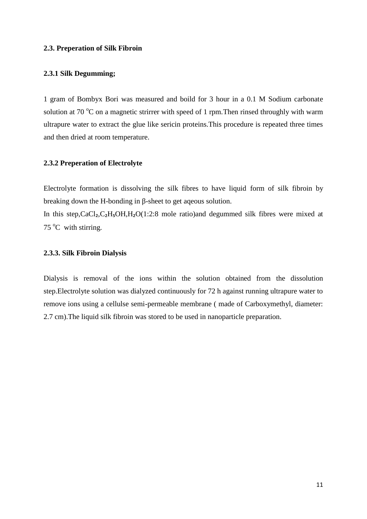#### **2.3. Preperation of Silk Fibroin**

#### **2.3.1 Silk Degumming;**

1 gram of Bombyx Bori was measured and boild for 3 hour in a 0.1 M Sodium carbonate solution at 70  $^{\circ}$ C on a magnetic strirrer with speed of 1 rpm. Then rinsed throughly with warm ultrapure water to extract the glue like sericin proteins.This procedure is repeated three times and then dried at room temperature.

#### **2.3.2 Preperation of Electrolyte**

Electrolyte formation is dissolving the silk fibres to have liquid form of silk fibroin by breaking down the H-bonding in -sheet to get aqeous solution.

In this step, $CaCl<sub>2</sub>, C<sub>2</sub>H<sub>5</sub>OH, H<sub>2</sub>O(1:2:8$  mole ratio)and degummed silk fibres were mixed at  $75^{\circ}$ C with stirring.

#### **2.3.3. Silk Fibroin Dialysis**

Dialysis is removal of the ions within the solution obtained from the dissolution step.Electrolyte solution was dialyzed continuously for 72 h against running ultrapure water to remove ions using a cellulse semi-permeable membrane ( made of Carboxymethyl, diameter: 2.7 cm).The liquid silk fibroin was stored to be used in nanoparticle preparation.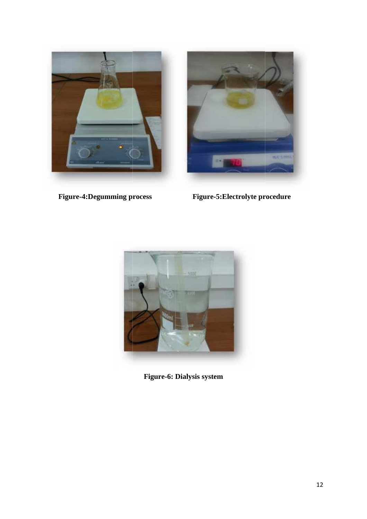



**Figure-4:Degumming process Figure-5:Electrolyte procedure processFigure-5:Electrolyte** 



**Figure-6: Dialysis system**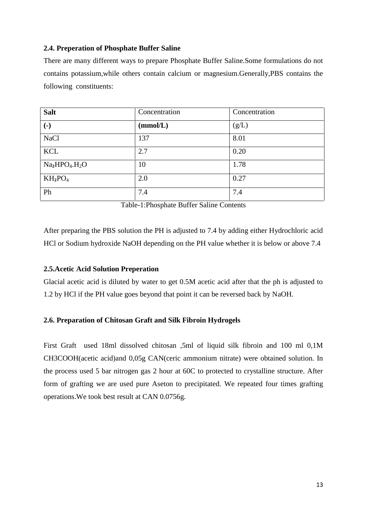#### **2.4. Preperation of Phosphate Buffer Saline**

There are many different ways to prepare Phosphate Buffer Saline.Some formulations do not contains potassium,while others contain calcium or magnesium.Generally,PBS contains the following constituents:

| <b>Salt</b>            | Concentration | Concentration |
|------------------------|---------------|---------------|
| $\left( \cdot \right)$ | (mmol/L)      | (g/L)         |
| <b>NaCl</b>            | 137           | 8.01          |
| <b>KCL</b>             | 2.7           | 0.20          |
| $Na2HPO4.H2O$          | 10            | 1.78          |
| $KH_2PO_4$             | 2.0           | 0.27          |
| Ph                     | 7.4           | 7.4           |

Table-1:Phosphate Buffer Saline Contents

After preparing the PBS solution the PH is adjusted to 7.4 by adding either Hydrochloric acid HCl or Sodium hydroxide NaOH depending on the PH value whether it is below or above 7.4

#### **2.5.Acetic Acid Solution Preperation**

Glacial acetic acid is diluted by water to get 0.5M acetic acid after that the ph is adjusted to 1.2 by HCl if the PH value goes beyond that point it can be reversed back by NaOH.

#### **2.6. Preparation of Chitosan Graft and Silk Fibroin Hydrogels**

First Graft used 18ml dissolved chitosan ,5ml of liquid silk fibroin and 100 ml 0,1M CH3COOH(acetic acid)and 0,05g CAN(ceric ammonium nitrate) were obtained solution. In the process used 5 bar nitrogen gas 2 hour at 60C to protected to crystalline structure. After form of grafting we are used pure Aseton to precipitated. We repeated four times grafting operations.We took best result at CAN 0.0756g.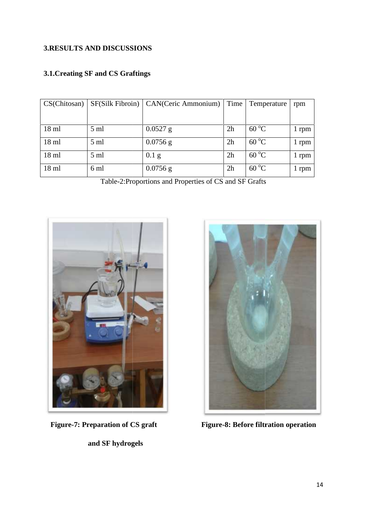## **3.RESULTS AND DISCUSSIONS**

## **3.1.Creating SF and CS Graftings**

| CS(Chitosan)    |                | $SFS$ ilk Fibroin) $  CAN(Ceric Ammonium) $ | Time | Temperature    | rpm   |
|-----------------|----------------|---------------------------------------------|------|----------------|-------|
|                 |                |                                             |      |                |       |
| $18 \text{ ml}$ | $5 \text{ ml}$ | $0.0527$ g                                  | 2h   | $60^{\circ}$ C | 1 rpm |
| $18 \text{ ml}$ | $5 \text{ ml}$ | $0.0756$ g                                  | 2h   | $60^{\circ}$ C | 1 rpm |
| $18 \text{ ml}$ | $5 \text{ ml}$ | $0.1$ g                                     | 2h   | $60^{\circ}$ C | 1 rpm |
| $18$ ml         | 6 ml           | $0.0756$ g                                  | 2h   | $60^{\circ}$ C | 1 rpm |

Table-2:Proportions and Properties of CS and SF Grafts



**and SF hydrogels**



**Figure-7: Preparation of CS graft Figure-8: Before filtration operation**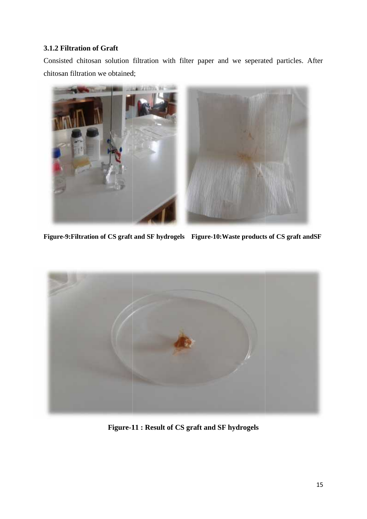#### **3.1.2 Filtration of Graft**

Consisted chitosan solution filtration with filter paper and we seperated particles. After chitosan filtration we obtained;



**Figure-9:Filtration of CS graft and SF hydrogels Figure-10:Waste products of CS graft andSF graft hydrogelsFigure-10:Waste** 



**Figure-11 : Result of CS graft and SF hydrogels**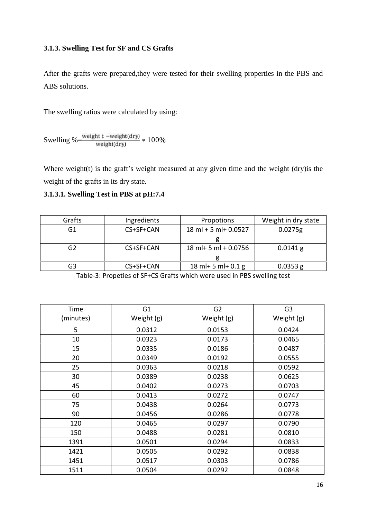#### **3.1.3. Swelling Test for SF and CS Grafts**

After the grafts were prepared,they were tested for their swelling properties in the PBS and ABS solutions.

The swelling ratios were calculated by using:

Swelling %= $\frac{\text{weight t - weight (dry)}}{\text{weight (dry)}} * 100\%$ 

Where weight $(t)$  is the graft's weight measured at any given time and the weight  $(dry)$  is the weight of the grafts in its dry state.

## **3.1.3.1. Swelling Test in PBS at pH:7.4**

| Grafts | Ingredients | Propotions              | Weight in dry state |
|--------|-------------|-------------------------|---------------------|
| G1     | CS+SF+CAN   | $18$ ml + 5 ml + 0.0527 | 0.0275g             |
|        |             |                         |                     |
| G2     | CS+SF+CAN   | $18$ ml + 5 ml + 0.0756 | $0.0141$ g          |
|        |             |                         |                     |
| G3     | CS+SF+CAN   | 18 ml + 5 ml + $0.1 g$  | $0.0353$ g          |

Table-3: Propeties of SF+CS Grafts which were used in PBS swelling test

| Time      | G <sub>1</sub> | G <sub>2</sub> | G <sub>3</sub> |
|-----------|----------------|----------------|----------------|
| (minutes) | Weight (g)     | Weight (g)     | Weight (g)     |
| 5         | 0.0312         | 0.0153         | 0.0424         |
| 10        | 0.0323         | 0.0173         | 0.0465         |
| 15        | 0.0335         | 0.0186         | 0.0487         |
| 20        | 0.0349         | 0.0192         | 0.0555         |
| 25        | 0.0363         | 0.0218         | 0.0592         |
| 30        | 0.0389         | 0.0238         | 0.0625         |
| 45        | 0.0402         | 0.0273         | 0.0703         |
| 60        | 0.0413         | 0.0272         | 0.0747         |
| 75        | 0.0438         | 0.0264         | 0.0773         |
| 90        | 0.0456         | 0.0286         | 0.0778         |
| 120       | 0.0465         | 0.0297         | 0.0790         |
| 150       | 0.0488         | 0.0281         | 0.0810         |
| 1391      | 0.0501         | 0.0294         | 0.0833         |
| 1421      | 0.0505         | 0.0292         | 0.0838         |
| 1451      | 0.0517         | 0.0303         | 0.0786         |
| 1511      | 0.0504         | 0.0292         | 0.0848         |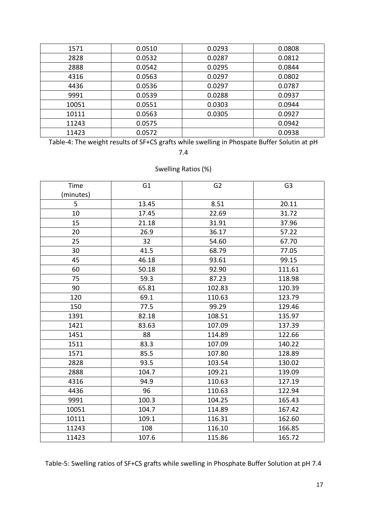| 1571  | 0.0510 | 0.0293 | 0.0808 |
|-------|--------|--------|--------|
| 2828  | 0.0532 | 0.0287 | 0.0812 |
| 2888  | 0.0542 | 0.0295 | 0.0844 |
| 4316  | 0.0563 | 0.0297 | 0.0802 |
| 4436  | 0.0536 | 0.0297 | 0.0787 |
| 9991  | 0.0539 | 0.0288 | 0.0937 |
| 10051 | 0.0551 | 0.0303 | 0.0944 |
| 10111 | 0.0563 | 0.0305 | 0.0927 |
| 11243 | 0.0575 |        | 0.0942 |
| 11423 | 0.0572 |        | 0.0938 |

Table-4: The weight results of SF+CS grafts while swelling in Phospate Buffer Solutin at pH

7.4

## Swelling Ratios (%)

| Time<br>(minutes) | G <sub>1</sub> | G <sub>2</sub> | G <sub>3</sub> |
|-------------------|----------------|----------------|----------------|
| 5                 | 13.45          | 8.51           | 20.11          |
| 10                | 17.45          | 22.69          | 31.72          |
| 15                | 21.18          | 31.91          | 37.96          |
| 20                | 26.9           | 36.17          | 57.22          |
| 25                | 32             | 54.60          | 67.70          |
| 30                | 41.5           | 68.79          | 77.05          |
| 45                | 46.18          | 93.61          | 99.15          |
| 60                | 50.18          | 92.90          | 111.61         |
| 75                | 59.3           | 87.23          | 118.98         |
| 90                | 65.81          | 102.83         | 120.39         |
| 120               | 69.1           | 110.63         | 123.79         |
| 150               | 77.5           | 99.29          | 129.46         |
| 1391              | 82.18          | 108.51         | 135.97         |
| 1421              | 83.63          | 107.09         | 137.39         |
| 1451              | 88             | 114.89         | 122.66         |
| 1511              | 83.3           | 107.09         | 140.22         |
| 1571              | 85.5           | 107.80         | 128.89         |
| 2828              | 93.5           | 103.54         | 130.02         |
| 2888              | 104.7          | 109.21         | 139.09         |
| 4316              | 94.9           | 110.63         | 127.19         |
| 4436              | 96             | 110.63         | 122.94         |
| 9991              | 100.3          | 104.25         | 165.43         |
| 10051             | 104.7          | 114.89         | 167.42         |
| 10111             | 109.1          | 116.31         | 162.60         |
| 11243             | 108            | 116.10         | 166.85         |
| 11423             | 107.6          | 115.86         | 165.72         |

Table-5: Swelling ratios of SF+CS grafts while swelling in Phosphate Buffer Solution at pH 7.4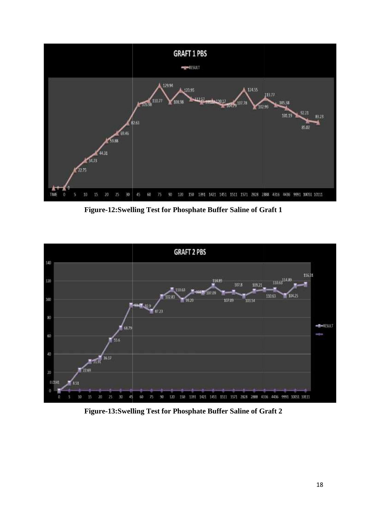

**Figure-12:Swelling Test for Phosphate Buffer Saline of Graft 1**



**Figure-13:Swelling Test for Phosphate Buffer Saline of Graft 2**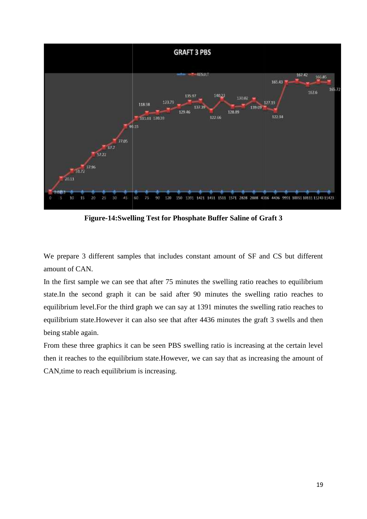

Figure-14:Swelling Test for Phosphate Buffer Saline of Graft 3

We prepare 3 different samples that includes constant amount of SF and CS but different amount of CAN.

In the first sample we can see that after 75 minutes the swelling ratio reaches to equilibrium state.In the second graph it can be said after 90 minutes the swelling ratio reaches to equilibrium level.For the third graph we can say at 1391 minutes the swelling ratio reaches to equilibrium state.However it can also see that after 4436 minutes the graft 3 swells and then being stable again. We prepare 3 different samples that includes constant amount of SF and CS but differe<br>amount of CAN.<br>In the first sample we can see that after 75 minutes the swelling ratio reaches to equilibriu<br>state.In the second graph i

From these three graphics it can be seen PBS swelling ratio is increasing at the certain level then it reaches to the equilibrium state.However, we can say that as increasing the amount of CAN,time to reach equilibrium is increasing.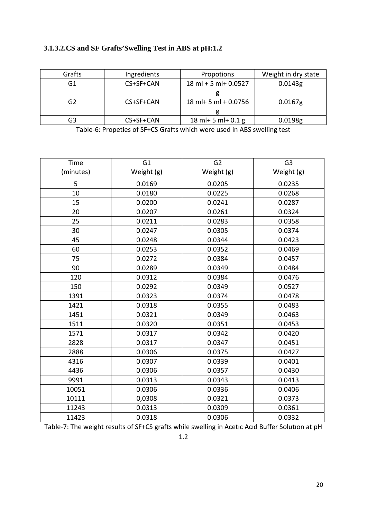## **3.1.3.2.CS and SF Grafts'Swelling Test in ABS at pH:1.2**

| Grafts | Ingredients | Propotions              | Weight in dry state |
|--------|-------------|-------------------------|---------------------|
| G1     | CS+SF+CAN   | $18$ ml + 5 ml + 0.0527 | 0.0143g             |
|        |             |                         |                     |
| G2     | CS+SF+CAN   | $18$ ml + 5 ml + 0.0756 | $0.0167$ g          |
|        |             |                         |                     |
| G3     | CS+SF+CAN   | $18$ ml + 5 ml + 0.1 g  | 0.0198 <sub>g</sub> |

Table-6: Propeties of SF+CS Grafts which were used in ABS swelling test

| Time      | G <sub>1</sub> | G <sub>2</sub> | G <sub>3</sub> |
|-----------|----------------|----------------|----------------|
| (minutes) | Weight (g)     | Weight (g)     | Weight (g)     |
| 5         | 0.0169         | 0.0205         | 0.0235         |
| 10        | 0.0180         | 0.0225         | 0.0268         |
| 15        | 0.0200         | 0.0241         | 0.0287         |
| 20        | 0.0207         | 0.0261         | 0.0324         |
| 25        | 0.0211         | 0.0283         | 0.0358         |
| 30        | 0.0247         | 0.0305         | 0.0374         |
| 45        | 0.0248         | 0.0344         | 0.0423         |
| 60        | 0.0253         | 0.0352         | 0.0469         |
| 75        | 0.0272         | 0.0384         | 0.0457         |
| 90        | 0.0289         | 0.0349         | 0.0484         |
| 120       | 0.0312         | 0.0384         | 0.0476         |
| 150       | 0.0292         | 0.0349         | 0.0527         |
| 1391      | 0.0323         | 0.0374         | 0.0478         |
| 1421      | 0.0318         | 0.0355         | 0.0483         |
| 1451      | 0.0321         | 0.0349         | 0.0463         |
| 1511      | 0.0320         | 0.0351         | 0.0453         |
| 1571      | 0.0317         | 0.0342         | 0.0420         |
| 2828      | 0.0317         | 0.0347         | 0.0451         |
| 2888      | 0.0306         | 0.0375         | 0.0427         |
| 4316      | 0.0307         | 0.0339         | 0.0401         |
| 4436      | 0.0306         | 0.0357         | 0.0430         |
| 9991      | 0.0313         | 0.0343         | 0.0413         |
| 10051     | 0.0306         | 0.0336         | 0.0406         |
| 10111     | 0,0308         | 0.0321         | 0.0373         |
| 11243     | 0.0313         | 0.0309         | 0.0361         |
| 11423     | 0.0318         | 0.0306         | 0.0332         |

Table-7: The weight results of SF+CS grafts while swelling in Acetıc Acıd Buffer Solutıon at pH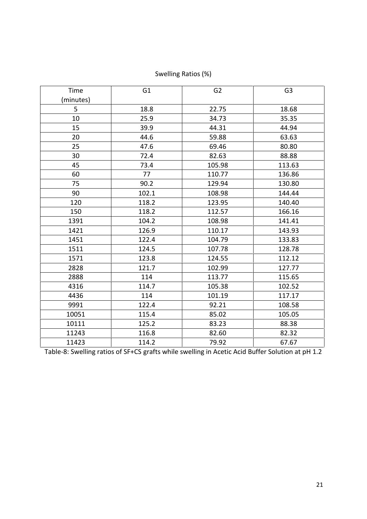| Time      | G <sub>1</sub> | G <sub>2</sub> | G <sub>3</sub> |
|-----------|----------------|----------------|----------------|
| (minutes) |                |                |                |
| 5         | 18.8           | 22.75          | 18.68          |
| 10        | 25.9           | 34.73          | 35.35          |
| 15        | 39.9           | 44.31          | 44.94          |
| 20        | 44.6           | 59.88          | 63.63          |
| 25        | 47.6           | 69.46          | 80.80          |
| 30        | 72.4           | 82.63          | 88.88          |
| 45        | 73.4           | 105.98         | 113.63         |
| 60        | 77             | 110.77         | 136.86         |
| 75        | 90.2           | 129.94         | 130.80         |
| 90        | 102.1          | 108.98         | 144.44         |
| 120       | 118.2          | 123.95         | 140.40         |
| 150       | 118.2          | 112.57         | 166.16         |
| 1391      | 104.2          | 108.98         | 141.41         |
| 1421      | 126.9          | 110.17         | 143.93         |
| 1451      | 122.4          | 104.79         | 133.83         |
| 1511      | 124.5          | 107.78         | 128.78         |
| 1571      | 123.8          | 124.55         | 112.12         |
| 2828      | 121.7          | 102.99         | 127.77         |
| 2888      | 114            | 113.77         | 115.65         |
| 4316      | 114.7          | 105.38         | 102.52         |
| 4436      | 114            | 101.19         | 117.17         |
| 9991      | 122.4          | 92.21          | 108.58         |
| 10051     | 115.4          | 85.02          | 105.05         |
| 10111     | 125.2          | 83.23          | 88.38          |
| 11243     | 116.8          | 82.60          | 82.32          |
| 11423     | 114.2          | 79.92          | 67.67          |

Swelling Ratios (%)

Table-8: Swelling ratios of SF+CS grafts while swelling in Acetic Acid Buffer Solution at pH 1.2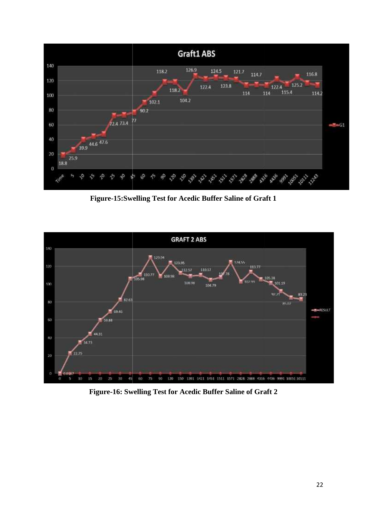

**Figure-15:Swelling Test for Acedic Buffer Saline of Graft 1 Test for** 



**Figure-16: Swelling Test for Acedic Buffer Saline of Graft 2**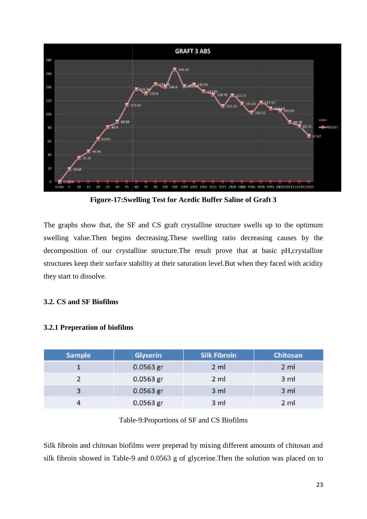

**Figure-17:Swelling Test for Acedic Buffer Saline of Graft 3 Test for** 

The graphs show that, the SF and CS graft crystalline structure swells up to the optimum swelling value.Then begins decreasing.These swelling ratio decreasing causes by the decomposition of our crystalline structure.The result prove that at basic pH,crystalline structures keep their surface stability at their saturation level.But when they faced with acidity they start to dissolve. The graphs show that, the SF and CS graft crystalline structure swells up to swelling value.Then begins decreasing.These swelling ratio decreasing cade<br>composition of our crystalline structure.The result prove that at basi

#### **3.2. CS and SF Biofilms SF Biofilms**

| <b>Sample</b> | <b>Glyserin</b> | <b>Silk Fibroin</b> | Chitosan        |
|---------------|-----------------|---------------------|-----------------|
|               | 0.0563 gr       | 2 <sub>m1</sub>     | 2 ml            |
|               | 0.0563 gr       | $2$ ml              | 3 ml            |
|               | 0.0563 gr       | 3 ml                | 3 ml            |
|               | 0.0563 gr       | 3 <sub>m</sub>      | 2 <sub>m1</sub> |

#### **3.2.1 Preperation of biofilms**

#### Table-9:Proportions of SF and CS Biofilms

Silk fibroin and chitosan biofilms were preperad by mixing different amounts of chitosan and Silk fibroin and chitosan biofilms were preperad by mixing different amounts of chitosan and<br>silk fibroin showed in Table-9 and 0.0563 g of glycerine.Then the solution was placed on to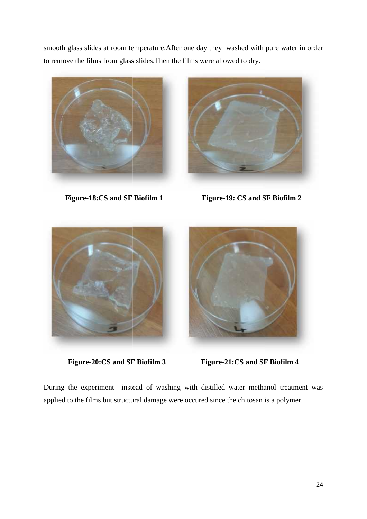smooth glass slides at room temperature.After one day they washed with pure water in order<br>to remove the films from glass slides.Then the films were allowed to dry. to remove the films from glass slides.Then the films were allowed to dry.







**Figure-20:CS and SF Biofilm 3 Figure-21:CS and SF Biofilm 4**

During the experiment instead of washing with distilled water methanol treatment was applied to the films but structural damage were occured since the chitosan is a polymer.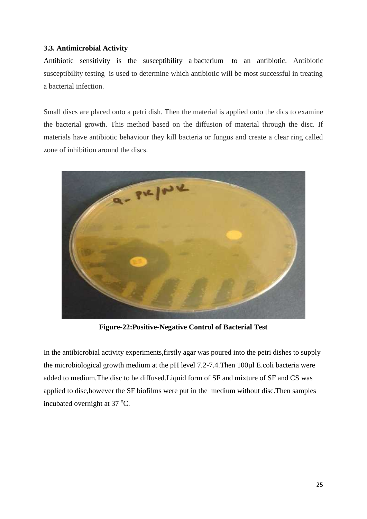#### **3.3. Antimicrobial Activity**

Antibiotic sensitivity is the susceptibility a bacterium to an antibiotic. Antibiotic susceptibility testing is used to determine which antibiotic will be most successful in treating a bacterial infection.

Small discs are placed onto a petri dish. Then the material is applied onto the dics to examine the bacterial growth. This method based on the diffusion of material through the disc. If materials have antibiotic behaviour they kill bacteria or fungus and create a clear ring called zone of inhibition around the discs.



**Figure-22:Positive-Negative Control of Bacterial Test**

In the antibicrobial activity experiments,firstly agar was poured into the petri dishes to supply the microbiological growth medium at the pH level 7.2-7.4.Then 100µl E.coli bacteria were added to medium.The disc to be diffused.Liquid form of SF and mixture of SF and CS was applied to disc,however the SF biofilms were put in the medium without disc.Then samples incubated overnight at  $37^{\circ}$ C.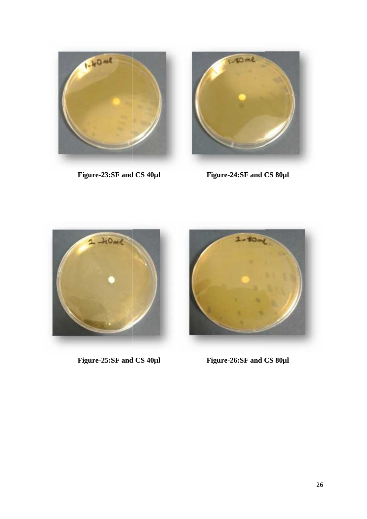

Figure-23:SF and CS  $40\mu$ l



**Figure-23:SF and CS 40µl Figure-24:SF and CS 80µl**



Figure-25:SF and CS  $40\mu$ l



**Figure-25:SF and CS 40µl Figure-26:SF and CS 80µl**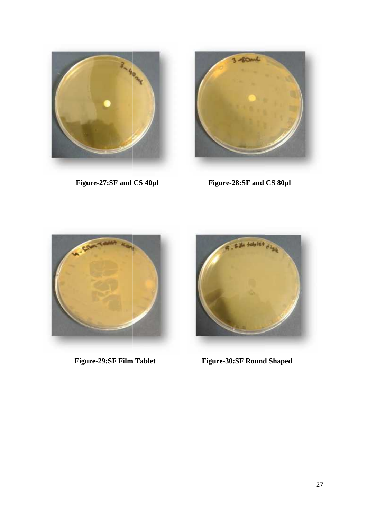

Figure-27:SF and CS 40µl



Figure-28:SF and CS  $80\mu$ <sub>l</sub>





**Figure-29:SF Film Tablet Figure-30:SF Round Shaped Figure-30:SF**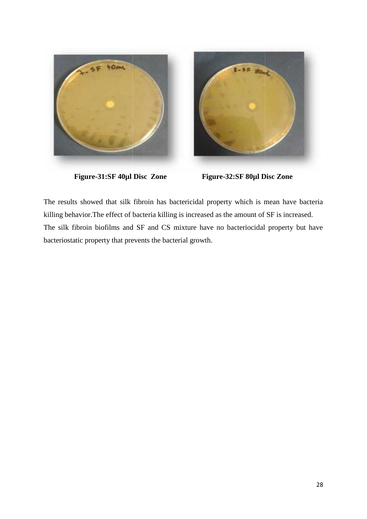



**Figure-31:SF 40µl Disc Zone Figure-32:SF 80µl Disc Zone Zone**

The results showed that silk fibroin has bactericidal property which is mean have bacteria killing behavior.The effect of bacteria killing is increased as the amount of SF is increased. The silk fibroin biofilms and SF and CS mixture have no bacteriocidal property but have bacteriostatic property that prevents the bacterial growth. The results showed that silk fibroin has bactericidal property which is mean have killing behavior. The effect of bacteria killing is increased as the amount of SF is increase. The silk fibroin biofilms and SF and CS mixtu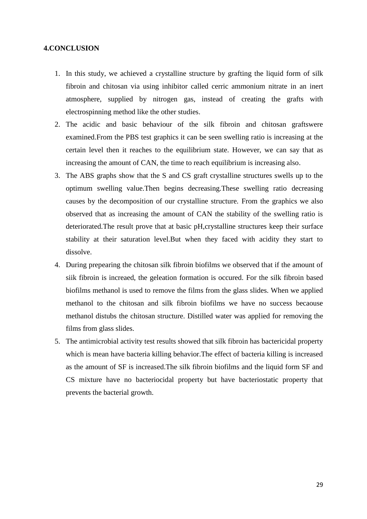#### **4.CONCLUSION**

- 1. In this study, we achieved a crystalline structure by grafting the liquid form of silk fibroin and chitosan via using inhibitor called cerric ammonium nitrate in an inert atmosphere, supplied by nitrogen gas, instead of creating the grafts with electrospinning method like the other studies.
- 2. The acidic and basic behaviour of the silk fibroin and chitosan graftswere examined.From the PBS test graphics it can be seen swelling ratio is increasing at the certain level then it reaches to the equilibrium state. However, we can say that as increasing the amount of CAN, the time to reach equilibrium is increasing also.
- 3. The ABS graphs show that the S and CS graft crystalline structures swells up to the optimum swelling value.Then begins decreasing.These swelling ratio decreasing causes by the decomposition of our crystalline structure. From the graphics we also observed that as increasing the amount of CAN the stability of the swelling ratio is deteriorated.The result prove that at basic pH,crystalline structures keep their surface stability at their saturation level.But when they faced with acidity they start to dissolve.
- 4. During prepearing the chitosan silk fibroin biofilms we observed that if the amount of siik fibroin is increaed, the geleation formation is occured. For the silk fibroin based biofilms methanol is used to remove the films from the glass slides. When we applied methanol to the chitosan and silk fibroin biofilms we have no success becaouse methanol distubs the chitosan structure. Distilled water was applied for removing the films from glass slides.
- 5. The antimicrobial activity test results showed that silk fibroin has bactericidal property which is mean have bacteria killing behavior.The effect of bacteria killing is increased as the amount of SF is increased.The silk fibroin biofilms and the liquid form SF and CS mixture have no bacteriocidal property but have bacteriostatic property that prevents the bacterial growth.